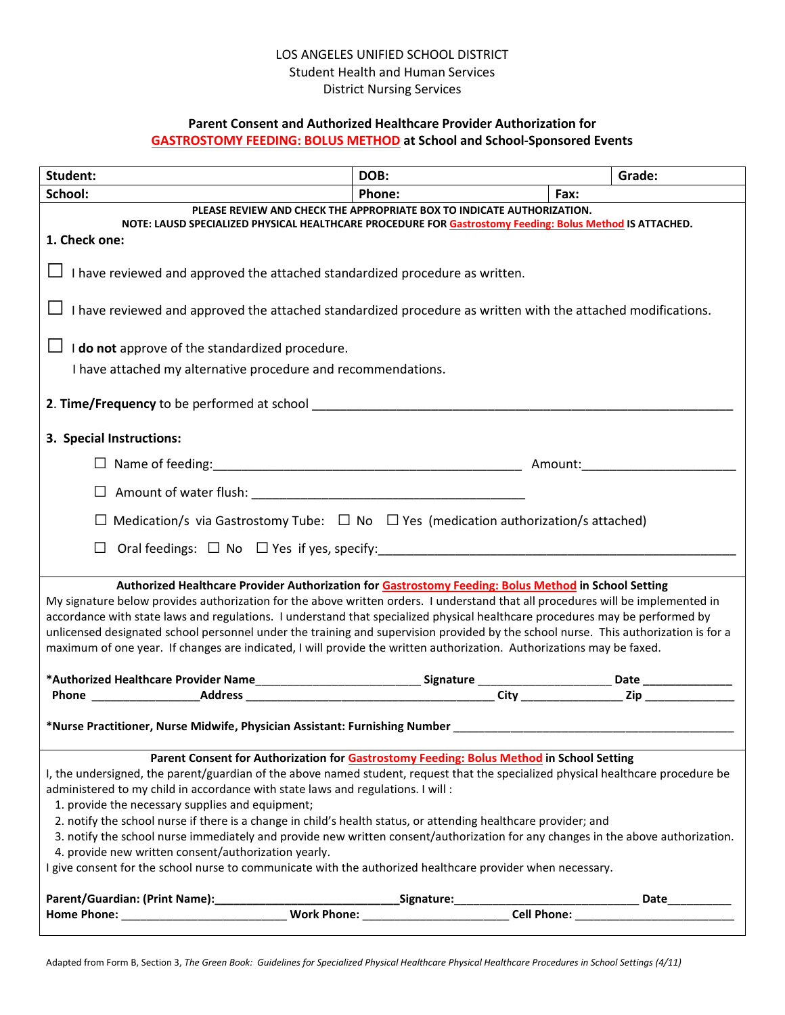# LOS ANGELES UNIFIED SCHOOL DISTRICT Student Health and Human Services District Nursing Services

## **Parent Consent and Authorized Healthcare Provider Authorization for GASTROSTOMY FEEDING: BOLUS METHOD at School and School-Sponsored Events**

| Student:                                                                                                                                                                                                                       | DOB:   | Grade:         |  |
|--------------------------------------------------------------------------------------------------------------------------------------------------------------------------------------------------------------------------------|--------|----------------|--|
| School:                                                                                                                                                                                                                        | Phone: | Fax:           |  |
| PLEASE REVIEW AND CHECK THE APPROPRIATE BOX TO INDICATE AUTHORIZATION.<br>NOTE: LAUSD SPECIALIZED PHYSICAL HEALTHCARE PROCEDURE FOR Gastrostomy Feeding: Bolus Method IS ATTACHED.                                             |        |                |  |
| 1. Check one:                                                                                                                                                                                                                  |        |                |  |
| I have reviewed and approved the attached standardized procedure as written.                                                                                                                                                   |        |                |  |
| I have reviewed and approved the attached standardized procedure as written with the attached modifications.                                                                                                                   |        |                |  |
| $\Box$ <b>I do not</b> approve of the standardized procedure.                                                                                                                                                                  |        |                |  |
| I have attached my alternative procedure and recommendations.                                                                                                                                                                  |        |                |  |
|                                                                                                                                                                                                                                |        |                |  |
| 3. Special Instructions:                                                                                                                                                                                                       |        |                |  |
|                                                                                                                                                                                                                                |        |                |  |
| $\Box$ Amount of water flush: $\Box$                                                                                                                                                                                           |        |                |  |
| $\Box$ Medication/s via Gastrostomy Tube: $\Box$ No $\Box$ Yes (medication authorization/s attached)                                                                                                                           |        |                |  |
|                                                                                                                                                                                                                                |        |                |  |
| Authorized Healthcare Provider Authorization for Gastrostomy Feeding: Bolus Method in School Setting                                                                                                                           |        |                |  |
| My signature below provides authorization for the above written orders. I understand that all procedures will be implemented in                                                                                                |        |                |  |
| accordance with state laws and regulations. I understand that specialized physical healthcare procedures may be performed by                                                                                                   |        |                |  |
| unlicensed designated school personnel under the training and supervision provided by the school nurse. This authorization is for a                                                                                            |        |                |  |
| maximum of one year. If changes are indicated, I will provide the written authorization. Authorizations may be faxed.                                                                                                          |        |                |  |
|                                                                                                                                                                                                                                |        |                |  |
| Authorized Healthcare Provider Name City City Conne Conne City Conne Conne City City Conne Conne Conne Conne Conne Conne Conne Conne Conne Conne Conne Conne Conne Conne Conne Conne Conne Conne Conne Conne Conne Conne Conne |        |                |  |
| *Nurse Practitioner, Nurse Midwife, Physician Assistant: Furnishing Number ___________________________________                                                                                                                 |        |                |  |
| Parent Consent for Authorization for Gastrostomy Feeding: Bolus Method in School Setting                                                                                                                                       |        |                |  |
| I, the undersigned, the parent/guardian of the above named student, request that the specialized physical healthcare procedure be                                                                                              |        |                |  |
| administered to my child in accordance with state laws and regulations. I will :                                                                                                                                               |        |                |  |
| 1. provide the necessary supplies and equipment;                                                                                                                                                                               |        |                |  |
| 2. notify the school nurse if there is a change in child's health status, or attending healthcare provider; and                                                                                                                |        |                |  |
| 3. notify the school nurse immediately and provide new written consent/authorization for any changes in the above authorization.                                                                                               |        |                |  |
| 4. provide new written consent/authorization yearly.                                                                                                                                                                           |        |                |  |
| I give consent for the school nurse to communicate with the authorized healthcare provider when necessary.                                                                                                                     |        |                |  |
|                                                                                                                                                                                                                                |        | Date__________ |  |
|                                                                                                                                                                                                                                |        |                |  |